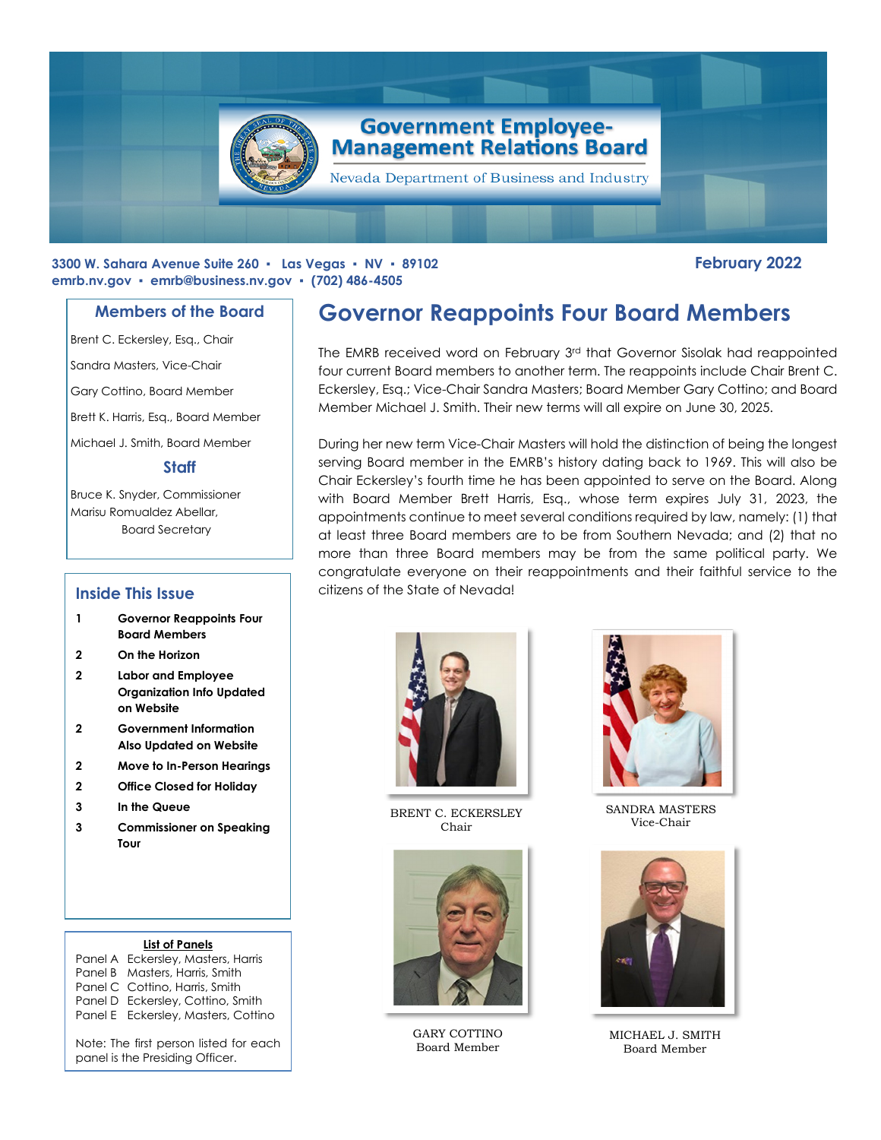

### **3300 W. Sahara Avenue Suite 260 ▪ Las Vegas ▪ NV ▪ 89102 February 2022 emrb.nv.gov ▪ [emrb@business.nv.gov](mailto:emrb@business.nv.gov) ▪ (702) 486-4505**

## **Members of the Board**

Brent C. Eckersley, Esq., Chair

Sandra Masters, Vice-Chair

Gary Cottino, Board Member

Brett K. Harris, Esq., Board Member

Michael J. Smith, Board Member

### **Staff**

Bruce K. Snyder, Commissioner Marisu Romualdez Abellar, Board Secretary

## **Inside This Issue**

- **1 Governor Reappoints Four Board Members**
- **2 On the Horizon**
- **2 Labor and Employee Organization Info Updated on Website**
- **2 Government Information Also Updated on Website**
- **2 Move to In-Person Hearings**
- **2 Office Closed for Holiday**
- **3 In the Queue**
- **3 Commissioner on Speaking Tour**

#### **List of Panels**

Panel A Eckersley, Masters, Harris Panel B Masters, Harris, Smith Panel C Cottino, Harris, Smith Panel D Eckersley, Cottino, Smith Panel E Eckersley, Masters, Cottino

Note: The first person listed for each panel is the Presiding Officer.

# **Governor Reappoints Four Board Members**

The EMRB received word on February 3rd that Governor Sisolak had reappointed four current Board members to another term. The reappoints include Chair Brent C. Eckersley, Esq.; Vice-Chair Sandra Masters; Board Member Gary Cottino; and Board Member Michael J. Smith. Their new terms will all expire on June 30, 2025.

During her new term Vice-Chair Masters will hold the distinction of being the longest serving Board member in the EMRB's history dating back to 1969. This will also be Chair Eckersley's fourth time he has been appointed to serve on the Board. Along with Board Member Brett Harris, Esq., whose term expires July 31, 2023, the appointments continue to meet several conditions required by law, namely: (1) that at least three Board members are to be from Southern Nevada; and (2) that no more than three Board members may be from the same political party. We congratulate everyone on their reappointments and their faithful service to the citizens of the State of Nevada!



BRENT C. ECKERSLEY Chair



GARY COTTINO Board Member



SANDRA MASTERS Vice-Chair



MICHAEL J. SMITH Board Member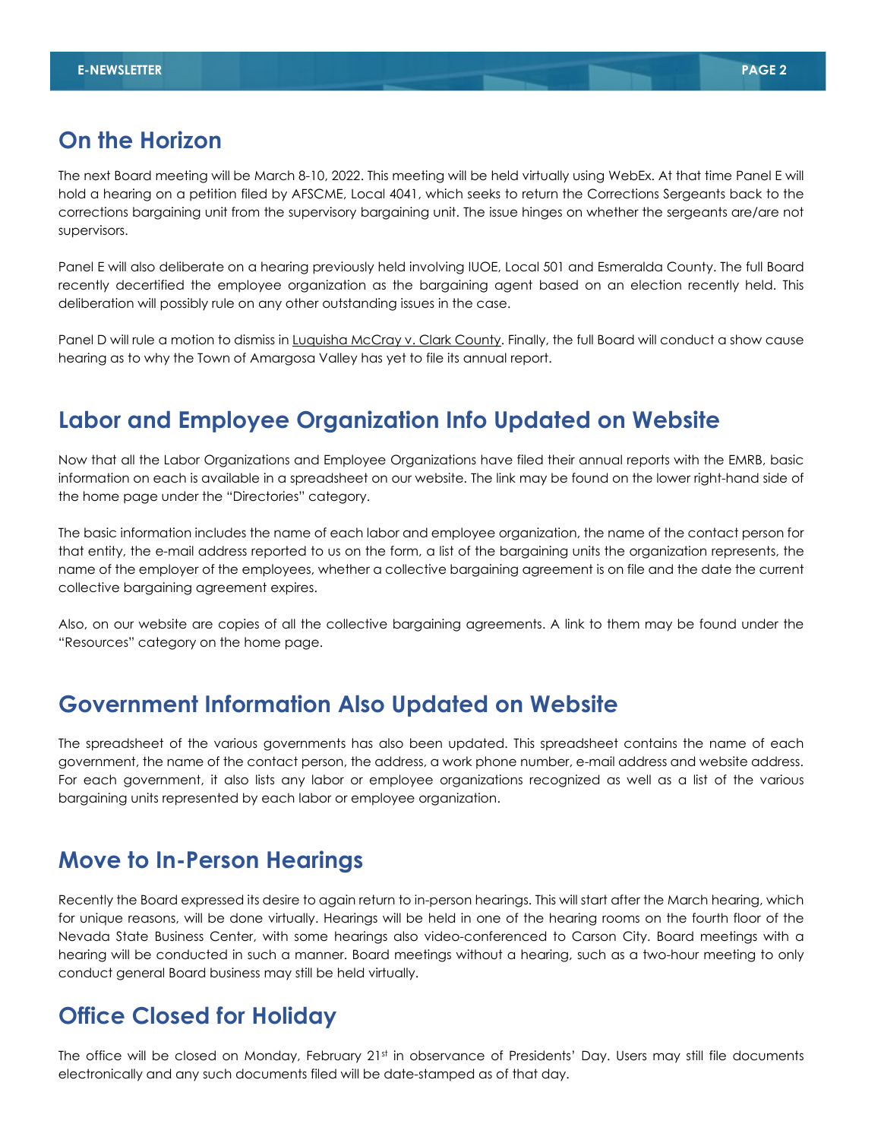# **On the Horizon**

The next Board meeting will be March 8-10, 2022. This meeting will be held virtually using WebEx. At that time Panel E will hold a hearing on a petition filed by AFSCME, Local 4041, which seeks to return the Corrections Sergeants back to the corrections bargaining unit from the supervisory bargaining unit. The issue hinges on whether the sergeants are/are not supervisors.

Panel E will also deliberate on a hearing previously held involving IUOE, Local 501 and Esmeralda County. The full Board recently decertified the employee organization as the bargaining agent based on an election recently held. This deliberation will possibly rule on any other outstanding issues in the case.

Panel D will rule a motion to dismiss in Luquisha McCray v. Clark County. Finally, the full Board will conduct a show cause hearing as to why the Town of Amargosa Valley has yet to file its annual report.

# **Labor and Employee Organization Info Updated on Website**

Now that all the Labor Organizations and Employee Organizations have filed their annual reports with the EMRB, basic information on each is available in a spreadsheet on our website. The link may be found on the lower right-hand side of the home page under the "Directories" category.

The basic information includes the name of each labor and employee organization, the name of the contact person for that entity, the e-mail address reported to us on the form, a list of the bargaining units the organization represents, the name of the employer of the employees, whether a collective bargaining agreement is on file and the date the current collective bargaining agreement expires.

Also, on our website are copies of all the collective bargaining agreements. A link to them may be found under the "Resources" category on the home page.

## **Government Information Also Updated on Website**

The spreadsheet of the various governments has also been updated. This spreadsheet contains the name of each government, the name of the contact person, the address, a work phone number, e-mail address and website address. For each government, it also lists any labor or employee organizations recognized as well as a list of the various bargaining units represented by each labor or employee organization.

# **Move to In-Person Hearings**

Recently the Board expressed its desire to again return to in-person hearings. This will start after the March hearing, which for unique reasons, will be done virtually. Hearings will be held in one of the hearing rooms on the fourth floor of the Nevada State Business Center, with some hearings also video-conferenced to Carson City. Board meetings with a hearing will be conducted in such a manner. Board meetings without a hearing, such as a two-hour meeting to only conduct general Board business may still be held virtually.

## **Office Closed for Holiday**

The office will be closed on Monday, February 21<sup>st</sup> in observance of Presidents' Day. Users may still file documents electronically and any such documents filed will be date-stamped as of that day.